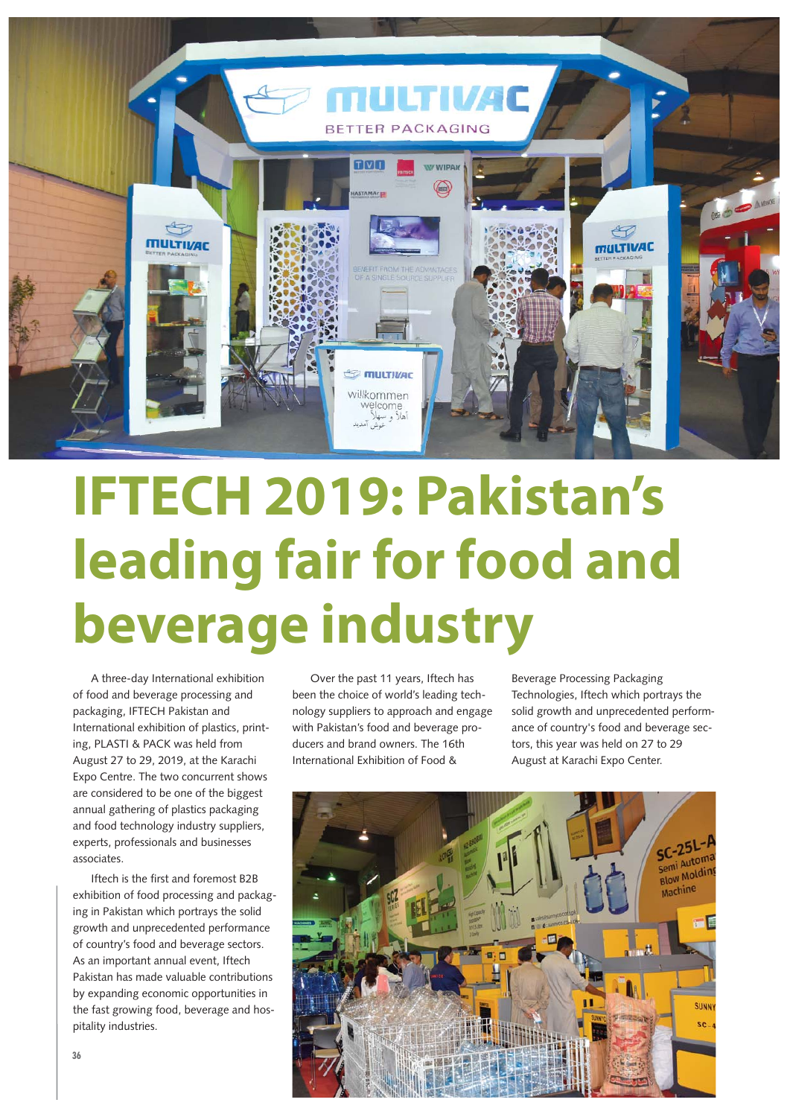

## **IFTECH 2019: Pakistan's leading fair for food and beverage industry**

A three-day International exhibition of food and beverage processing and packaging, IFTECH Pakistan and International exhibition of plastics, printing, PLASTI & PACK was held from August 27 to 29, 2019, at the Karachi Expo Centre. The two concurrent shows are considered to be one of the biggest annual gathering of plastics packaging and food technology industry suppliers, experts, professionals and businesses associates.

Iftech is the first and foremost B2B exhibition of food processing and packaging in Pakistan which portrays the solid growth and unprecedented performance of country's food and beverage sectors. As an important annual event, Iftech Pakistan has made valuable contributions by expanding economic opportunities in the fast growing food, beverage and hospitality industries.

Over the past 11 years, Iftech has been the choice of world's leading technology suppliers to approach and engage with Pakistan's food and beverage producers and brand owners. The 16th International Exhibition of Food &

Beverage Processing Packaging Technologies, Iftech which portrays the solid growth and unprecedented performance of country's food and beverage sectors, this year was held on 27 to 29 August at Karachi Expo Center.